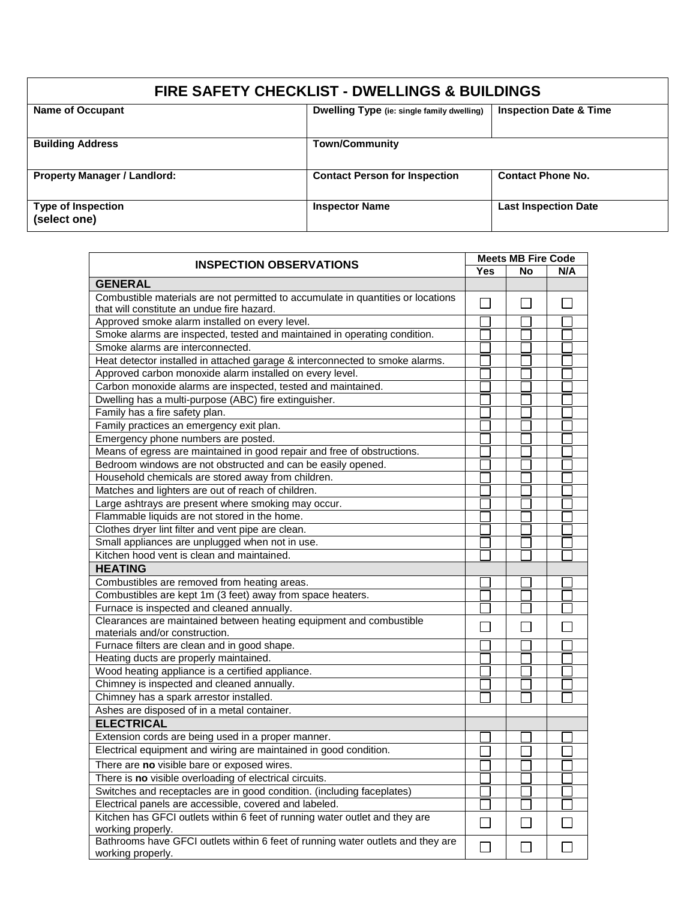| <b>FIRE SAFETY CHECKLIST - DWELLINGS &amp; BUILDINGS</b> |                                                   |                                   |  |  |
|----------------------------------------------------------|---------------------------------------------------|-----------------------------------|--|--|
| <b>Name of Occupant</b>                                  | <b>Dwelling Type</b> (ie: single family dwelling) | <b>Inspection Date &amp; Time</b> |  |  |
| <b>Building Address</b>                                  | <b>Town/Community</b>                             |                                   |  |  |
| <b>Property Manager / Landlord:</b>                      | <b>Contact Person for Inspection</b>              | <b>Contact Phone No.</b>          |  |  |
| Type of Inspection<br>(select one)                       | <b>Inspector Name</b>                             | <b>Last Inspection Date</b>       |  |  |

| <b>INSPECTION OBSERVATIONS</b>                                                                                                 |              | <b>Meets MB Fire Code</b> |        |
|--------------------------------------------------------------------------------------------------------------------------------|--------------|---------------------------|--------|
|                                                                                                                                | <b>Yes</b>   | <b>No</b>                 | N/A    |
| <b>GENERAL</b>                                                                                                                 |              |                           |        |
| Combustible materials are not permitted to accumulate in quantities or locations<br>that will constitute an undue fire hazard. |              |                           |        |
| Approved smoke alarm installed on every level.                                                                                 |              |                           |        |
| Smoke alarms are inspected, tested and maintained in operating condition.                                                      |              |                           |        |
| Smoke alarms are interconnected.                                                                                               |              |                           |        |
| Heat detector installed in attached garage & interconnected to smoke alarms.                                                   |              |                           |        |
| Approved carbon monoxide alarm installed on every level.                                                                       |              |                           |        |
| Carbon monoxide alarms are inspected, tested and maintained.                                                                   |              |                           |        |
| Dwelling has a multi-purpose (ABC) fire extinguisher.                                                                          |              |                           |        |
| Family has a fire safety plan.                                                                                                 |              |                           |        |
| Family practices an emergency exit plan.                                                                                       |              |                           |        |
| Emergency phone numbers are posted.                                                                                            |              |                           |        |
| Means of egress are maintained in good repair and free of obstructions.                                                        |              |                           |        |
| Bedroom windows are not obstructed and can be easily opened.                                                                   |              |                           |        |
| Household chemicals are stored away from children.                                                                             |              |                           |        |
| Matches and lighters are out of reach of children.                                                                             |              |                           |        |
| Large ashtrays are present where smoking may occur.                                                                            |              |                           |        |
| Flammable liquids are not stored in the home.                                                                                  |              |                           |        |
| Clothes dryer lint filter and vent pipe are clean.                                                                             |              |                           |        |
| Small appliances are unplugged when not in use.                                                                                |              |                           |        |
| Kitchen hood vent is clean and maintained.                                                                                     |              |                           |        |
| <b>HEATING</b>                                                                                                                 |              |                           |        |
| Combustibles are removed from heating areas.                                                                                   |              |                           |        |
| Combustibles are kept 1m (3 feet) away from space heaters.                                                                     |              |                           |        |
| Furnace is inspected and cleaned annually.                                                                                     |              |                           |        |
| Clearances are maintained between heating equipment and combustible<br>materials and/or construction.                          |              |                           |        |
| Furnace filters are clean and in good shape.                                                                                   |              |                           |        |
| Heating ducts are properly maintained.                                                                                         |              |                           |        |
| Wood heating appliance is a certified appliance.                                                                               |              |                           |        |
| Chimney is inspected and cleaned annually.                                                                                     |              |                           |        |
| Chimney has a spark arrestor installed.                                                                                        |              |                           |        |
| Ashes are disposed of in a metal container.                                                                                    |              |                           |        |
| <b>ELECTRICAL</b>                                                                                                              |              |                           |        |
| Extension cords are being used in a proper manner.                                                                             |              |                           |        |
| Electrical equipment and wiring are maintained in good condition.                                                              |              |                           |        |
| There are no visible bare or exposed wires.                                                                                    |              |                           |        |
| There is no visible overloading of electrical circuits.                                                                        |              |                           |        |
| Switches and receptacles are in good condition. (including faceplates)                                                         |              |                           |        |
| Electrical panels are accessible, covered and labeled.                                                                         |              |                           |        |
| Kitchen has GFCI outlets within 6 feet of running water outlet and they are<br>working properly.                               | $\sim$       | L.                        | $\Box$ |
| Bathrooms have GFCI outlets within 6 feet of running water outlets and they are<br>working properly.                           | $\mathsf{L}$ | $\mathbf{I}$              |        |